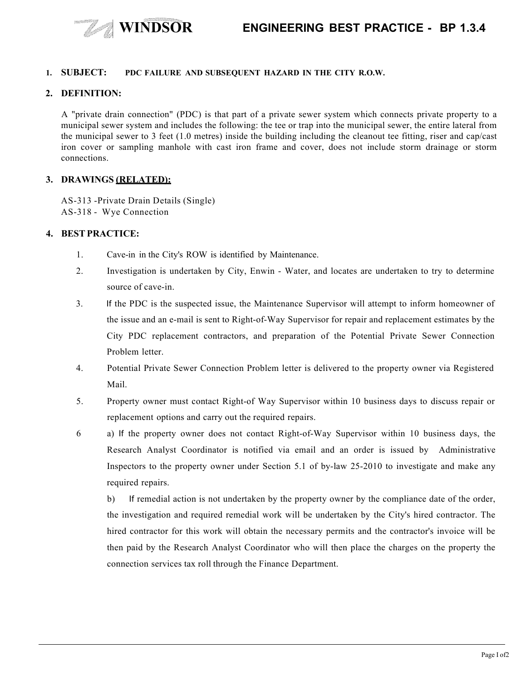

#### **1. SUBJECT: PDC FAILURE AND SUBSEQUENT HAZARD IN THE CITY R.O.W.**

#### **2. DEFINITION:**

A "private drain connection" (PDC) is that part of a private sewer system which connects private property to a municipal sewer system and includes the following: the tee or trap into the municipal sewer, the entire lateral from the municipal sewer to 3 feet (1.0 metres) inside the building including the cleanout tee fitting, riser and cap/cast iron cover or sampling manhole with cast iron frame and cover, does not include storm drainage or storm connections.

#### **3. DRAWINGS (RELATED):**

AS-313 -Private Drain Details (Single) AS-318 - Wye Connection

### **4. BESTPRACTICE:**

- 1. Cave-in in the City's ROW is identified by Maintenance.
- 2. Investigation is undertaken by City, Enwin Water, and locates are undertaken to try to determine source of cave-in.
- 3. If the PDC is the suspected issue, the Maintenance Supervisor will attempt to inform homeowner of the issue and an e-mail is sent to Right-of-Way Supervisor for repair and replacement estimates by the City PDC replacement contractors, and preparation of the Potential Private Sewer Connection Problem letter.
- 4. Potential Private Sewer Connection Problem letter is delivered to the property owner via Registered Mail.
- 5. Property owner must contact Right-of Way Supervisor within 10 business days to discuss repair or replacement options and carry out the required repairs.
- 6 a) If the property owner does not contact Right-of-Way Supervisor within 10 business days, the Research Analyst Coordinator is notified via email and an order is issued by Administrative Inspectors to the property owner under Section 5.1 of by-law 25-2010 to investigate and make any required repairs.

b) If remedial action is not undertaken by the property owner by the compliance date of the order, the investigation and required remedial work will be undertaken by the City's hired contractor. The hired contractor for this work will obtain the necessary permits and the contractor's invoice will be then paid by the Research Analyst Coordinator who will then place the charges on the property the connection services tax roll through the Finance Department.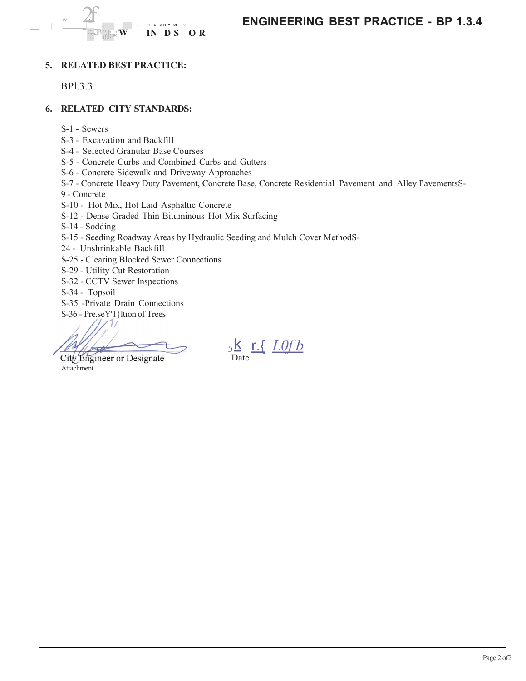

**ENGINEERING BEST PRACTICE - BP 1.3.4** 

# 5. RELATED BEST PRACTICE:

BP1.3.3.

# **6. RELATED CITY STANDARDS:**

- S-1 Sewers
- S-3 Excavation and Backfill
- S-4 Selected Granular Base Courses
- S-5 Concrete Curbs and Combined Curbs and Gutters
- S-6 Concrete Sidewalk and Driveway Approaches
- S-7 Concrete Heavy Duty Pavement, Concrete Base, Concrete Residential Pavement and Alley PavementsS-
- 9 Concrete
- S-10 Hot Mix, Hot Laid Asphaltic Concrete
- S-12 Dense Graded Thin Bituminous Hot Mix Surfacing
- S-14 Sodding
- S-15 Seeding Roadway Areas by Hydraulic Seeding and Mulch Cover MethodS-
- 24 Unshrinkable Backfill
- S-25 Clearing Blocked Sewer Connections
- S-29 Utility Cut Restoration
- S-32 CCTV Sewer Inspections
- S-34 Topsoil
- S-35 -Private Drain Connections
- S-36 Pre.seY'1 ltion of Trees

City Engineer or Designate Attachment

 $5\frac{\text{K}}{\text{Date}}$  r.  $\frac{\text{L0fb}}{\text{Date}}$